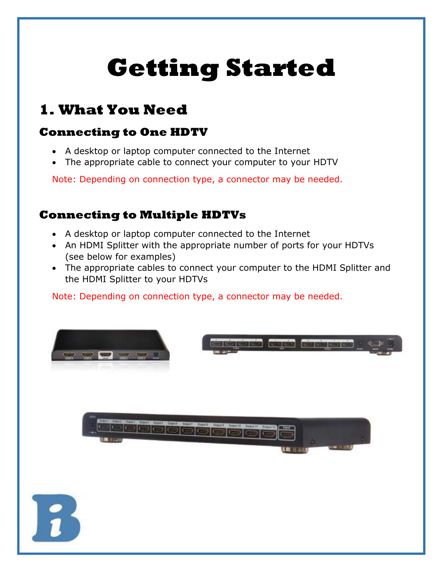# **Getting Started**

## **1. What You Need**

#### **Connecting to One HDTV**

- A desktop or laptop computer connected to the Internet
- The appropriate cable to connect your computer to your HDTV

Note: Depending on connection type, a connector may be needed.

#### **Connecting to Multiple HDTVs**

- A desktop or laptop computer connected to the Internet
- An HDMI Splitter with the appropriate number of ports for your HDTVs (see below for examples)
- The appropriate cables to connect your computer to the HDMI Splitter and the HDMI Splitter to your HDTVs

Note: Depending on connection type, a connector may be needed.

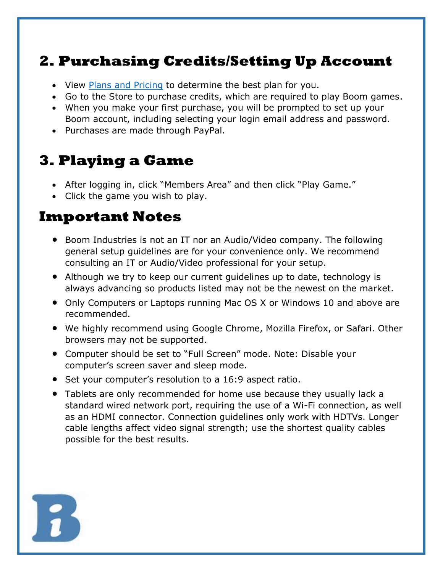## **2. Purchasing Credits/Setting Up Account**

- View [Plans and Pricing](https://boomindustries.com/boom-games-plans/) to determine the best plan for you.
- Go to the Store to purchase credits, which are required to play Boom games.
- When you make your first purchase, you will be prompted to set up your Boom account, including selecting your login email address and password.
- Purchases are made through PayPal.

### **3. Playing a Game**

- After logging in, click "Members Area" and then click "Play Game."
- Click the game you wish to play.

#### **Important Notes**

- Boom Industries is not an IT nor an Audio/Video company. The following general setup guidelines are for your convenience only. We recommend consulting an IT or Audio/Video professional for your setup.
- Although we try to keep our current guidelines up to date, technology is always advancing so products listed may not be the newest on the market.
- Only Computers or Laptops running Mac OS X or Windows 10 and above are recommended.
- We highly recommend using Google Chrome, Mozilla Firefox, or Safari. Other browsers may not be supported.
- Computer should be set to "Full Screen" mode. Note: Disable your computer's screen saver and sleep mode.
- Set your computer's resolution to a 16:9 aspect ratio.
- Tablets are only recommended for home use because they usually lack a standard wired network port, requiring the use of a Wi-Fi connection, as well as an HDMI connector. Connection guidelines only work with HDTVs. Longer cable lengths affect video signal strength; use the shortest quality cables possible for the best results.